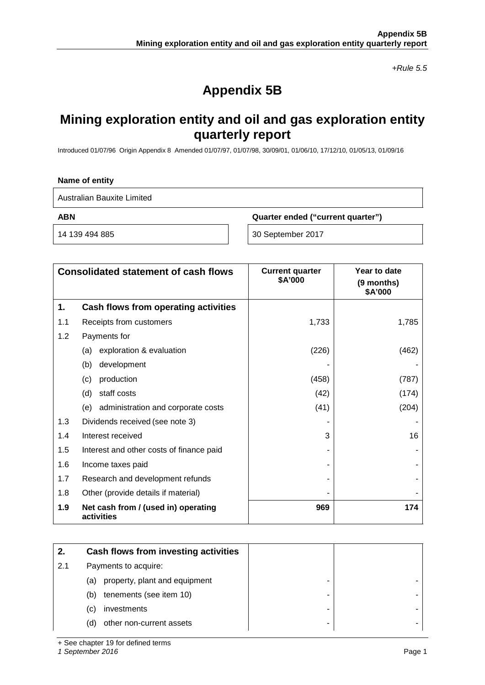*+Rule 5.5*

# **Appendix 5B**

# **Mining exploration entity and oil and gas exploration entity quarterly report**

Introduced 01/07/96 Origin Appendix 8 Amended 01/07/97, 01/07/98, 30/09/01, 01/06/10, 17/12/10, 01/05/13, 01/09/16

#### **Name of entity**

Australian Bauxite Limited

**ABN Quarter ended ("current quarter")**

14 139 494 885 30 September 2017

|     | <b>Consolidated statement of cash flows</b>       | <b>Current quarter</b><br>\$A'000 | Year to date<br>(9 months)<br>\$A'000 |
|-----|---------------------------------------------------|-----------------------------------|---------------------------------------|
| 1.  | Cash flows from operating activities              |                                   |                                       |
| 1.1 | Receipts from customers                           | 1,733                             | 1,785                                 |
| 1.2 | Payments for                                      |                                   |                                       |
|     | exploration & evaluation<br>(a)                   | (226)                             | (462)                                 |
|     | (b)<br>development                                |                                   |                                       |
|     | production<br>(c)                                 | (458)                             | (787)                                 |
|     | staff costs<br>(d)                                | (42)                              | (174)                                 |
|     | administration and corporate costs<br>(e)         | (41)                              | (204)                                 |
| 1.3 | Dividends received (see note 3)                   |                                   |                                       |
| 1.4 | Interest received                                 | 3                                 | 16                                    |
| 1.5 | Interest and other costs of finance paid          |                                   |                                       |
| 1.6 | Income taxes paid                                 |                                   |                                       |
| 1.7 | Research and development refunds                  |                                   |                                       |
| 1.8 | Other (provide details if material)               |                                   |                                       |
| 1.9 | Net cash from / (used in) operating<br>activities | 969                               | 174                                   |

| 2.  | Cash flows from investing activities |   |
|-----|--------------------------------------|---|
| 2.1 | Payments to acquire:                 |   |
|     | property, plant and equipment<br>(a) |   |
|     | tenements (see item 10)<br>(b)       | - |
|     | investments<br>(C)                   | - |
|     | other non-current assets<br>(d)      | - |

+ See chapter 19 for defined terms

*1 September 2016* Page 1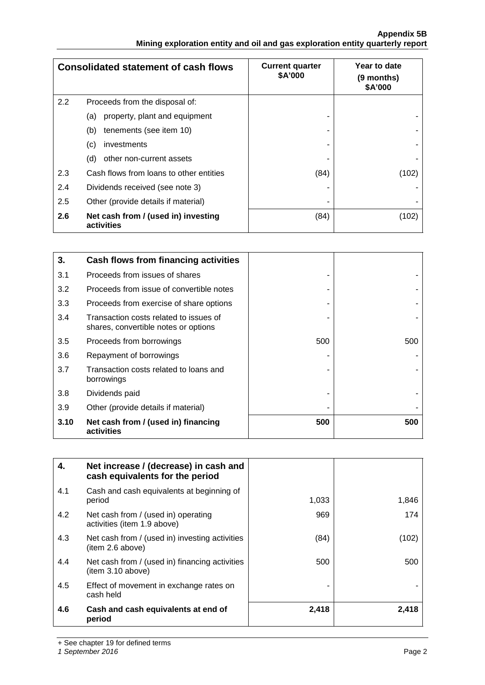### **Appendix 5B Mining exploration entity and oil and gas exploration entity quarterly report**

|     | <b>Consolidated statement of cash flows</b>       | <b>Current quarter</b><br>\$A'000 | Year to date<br>(9 months)<br>\$A'000 |
|-----|---------------------------------------------------|-----------------------------------|---------------------------------------|
| 2.2 | Proceeds from the disposal of:                    |                                   |                                       |
|     | property, plant and equipment<br>(a)              |                                   |                                       |
|     | tenements (see item 10)<br>(b)                    |                                   |                                       |
|     | (c)<br>investments                                |                                   |                                       |
|     | (d)<br>other non-current assets                   |                                   |                                       |
| 2.3 | Cash flows from loans to other entities           | (84)                              | (102)                                 |
| 2.4 | Dividends received (see note 3)                   |                                   |                                       |
| 2.5 | Other (provide details if material)               |                                   |                                       |
| 2.6 | Net cash from / (used in) investing<br>activities | (84)                              | (102)                                 |

| 3.   | Cash flows from financing activities                                           |     |     |
|------|--------------------------------------------------------------------------------|-----|-----|
| 3.1  | Proceeds from issues of shares                                                 |     |     |
| 3.2  | Proceeds from issue of convertible notes                                       |     |     |
| 3.3  | Proceeds from exercise of share options                                        |     |     |
| 3.4  | Transaction costs related to issues of<br>shares, convertible notes or options |     |     |
| 3.5  | Proceeds from borrowings                                                       | 500 | 500 |
| 3.6  | Repayment of borrowings                                                        |     |     |
| 3.7  | Transaction costs related to loans and<br>borrowings                           |     |     |
| 3.8  | Dividends paid                                                                 |     |     |
| 3.9  | Other (provide details if material)                                            |     |     |
| 3.10 | Net cash from / (used in) financing<br>activities                              | 500 | 500 |

| 4.  | Net increase / (decrease) in cash and<br>cash equivalents for the period |       |       |
|-----|--------------------------------------------------------------------------|-------|-------|
| 4.1 | Cash and cash equivalents at beginning of<br>period                      | 1,033 | 1,846 |
| 4.2 | Net cash from / (used in) operating<br>activities (item 1.9 above)       | 969   | 174   |
| 4.3 | Net cash from / (used in) investing activities<br>(item 2.6 above)       | (84)  | (102) |
| 4.4 | Net cash from / (used in) financing activities<br>item 3.10 above)       | 500   | 500   |
| 4.5 | Effect of movement in exchange rates on<br>cash held                     |       |       |
| 4.6 | Cash and cash equivalents at end of<br>period                            | 2,418 | 2,418 |

+ See chapter 19 for defined terms

*1 September 2016* Page 2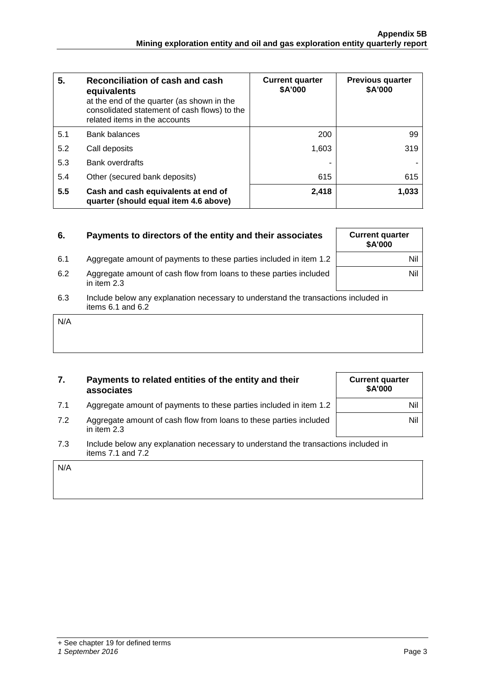| 5.  | Reconciliation of cash and cash<br>equivalents<br>at the end of the quarter (as shown in the<br>consolidated statement of cash flows) to the<br>related items in the accounts | <b>Current quarter</b><br>\$A'000 | <b>Previous quarter</b><br>\$A'000 |
|-----|-------------------------------------------------------------------------------------------------------------------------------------------------------------------------------|-----------------------------------|------------------------------------|
| 5.1 | <b>Bank balances</b>                                                                                                                                                          | 200                               | 99                                 |
| 5.2 | Call deposits                                                                                                                                                                 | 1,603                             | 319                                |
| 5.3 | <b>Bank overdrafts</b>                                                                                                                                                        |                                   |                                    |
| 5.4 | Other (secured bank deposits)                                                                                                                                                 | 615                               | 615                                |
| 5.5 | Cash and cash equivalents at end of<br>quarter (should equal item 4.6 above)                                                                                                  | 2,418                             | 1,033                              |

| 6.  | Payments to directors of the entity and their associates                                                    | <b>Current quarter</b><br>\$A'000 |
|-----|-------------------------------------------------------------------------------------------------------------|-----------------------------------|
| 6.1 | Aggregate amount of payments to these parties included in item 1.2                                          | Nil                               |
| 6.2 | Aggregate amount of cash flow from loans to these parties included<br>in item 2.3                           | Nil                               |
| 6.3 | Include below any explanation necessary to understand the transactions included in<br>items $6.1$ and $6.2$ |                                   |

| 7. | Payments to related entities of the entity and their |
|----|------------------------------------------------------|
|    | associates                                           |
|    |                                                      |

- 7.1 Aggregate amount of payments to these parties included in item 1.2
- 7.2 Aggregate amount of cash flow from loans to these parties included in item 2.3
- 7.3 Include below any explanation necessary to understand the transactions included in items 7.1 and 7.2

N/A

N/A

#### *1 September 2016* Page 3

| <b>Current quarter</b><br><b>\$A'000</b> |     |
|------------------------------------------|-----|
|                                          | Nil |
|                                          | Nil |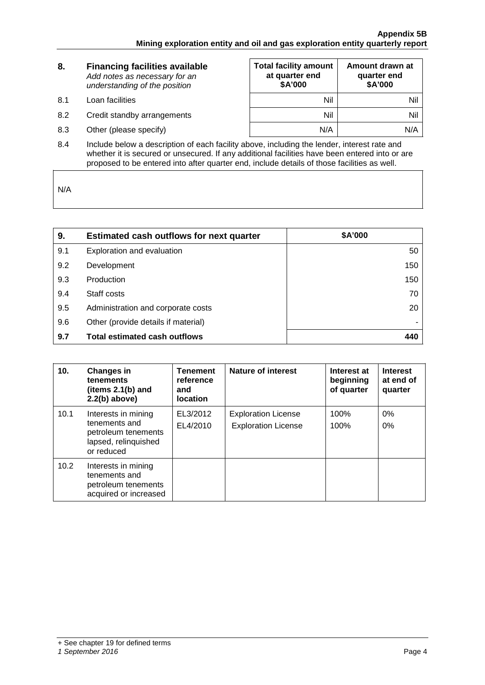| 8. | <b>Financing facilities available</b> |  |
|----|---------------------------------------|--|
|    | Add notes as necessary for an         |  |
|    | understanding of the position         |  |

- 8.1 Loan facilities
- 8.2 Credit standby arrangements
- 8.3 Other (please specify)

| <b>Total facility amount</b><br>at quarter end<br>\$A'000 | Amount drawn at<br>quarter end<br>\$A'000 |
|-----------------------------------------------------------|-------------------------------------------|
| Nil                                                       | Nil                                       |
| Nil                                                       | Nil                                       |
| N/A                                                       | N/A                                       |

8.4 Include below a description of each facility above, including the lender, interest rate and whether it is secured or unsecured. If any additional facilities have been entered into or are proposed to be entered into after quarter end, include details of those facilities as well.

N/A

| 9.  | <b>Estimated cash outflows for next quarter</b> | \$A'000 |
|-----|-------------------------------------------------|---------|
| 9.1 | Exploration and evaluation                      | 50      |
| 9.2 | Development                                     | 150     |
| 9.3 | Production                                      | 150     |
| 9.4 | Staff costs                                     | 70      |
| 9.5 | Administration and corporate costs              | 20      |
| 9.6 | Other (provide details if material)             |         |
| 9.7 | <b>Total estimated cash outflows</b>            | 440     |

| 10.  | <b>Changes in</b><br>tenements<br>(items 2.1(b) and<br>$2.2(b)$ above)                            | <b>Tenement</b><br>reference<br>and<br><b>location</b> | <b>Nature of interest</b>                                | Interest at<br>beginning<br>of quarter | <b>Interest</b><br>at end of<br>quarter |
|------|---------------------------------------------------------------------------------------------------|--------------------------------------------------------|----------------------------------------------------------|----------------------------------------|-----------------------------------------|
| 10.1 | Interests in mining<br>tenements and<br>petroleum tenements<br>lapsed, relinquished<br>or reduced | EL3/2012<br>EL4/2010                                   | <b>Exploration License</b><br><b>Exploration License</b> | 100%<br>100%                           | 0%<br>$0\%$                             |
| 10.2 | Interests in mining<br>tenements and<br>petroleum tenements<br>acquired or increased              |                                                        |                                                          |                                        |                                         |